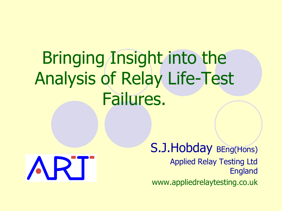# Bringing Insight into the Analysis of Relay Life-Test Failures.

ART

S.J.Hobday BEng(Hons) Applied Relay Testing Ltd England www.appliedrelaytesting.co.uk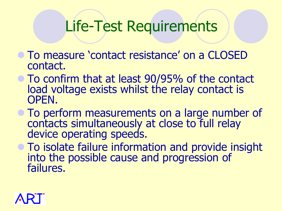## Life-Test Requirements

- **To measure 'contact resistance' on a CLOSED** contact.
- To confirm that at least 90/95% of the contact load voltage exists whilst the relay contact is OPEN.
- To perform measurements on a large number of contacts simultaneously at close to full relay device operating speeds.
- To isolate failure information and provide insight into the possible cause and progression of failures.

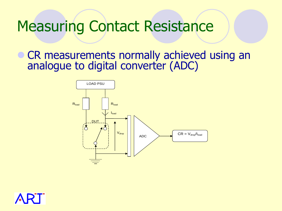## Measuring Contact Resistance

• CR measurements normally achieved using an analogue to digital converter (ADC)



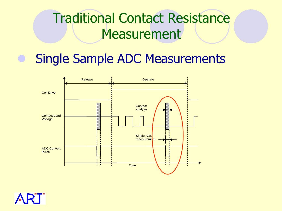#### Traditional Contact Resistance **Measurement**

#### Single Sample ADC Measurements



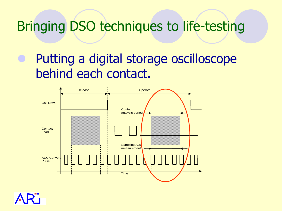### Bringing DSO techniques to life-testing

#### Putting a digital storage oscilloscope behind each contact.



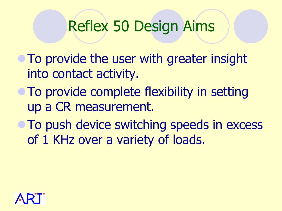## Reflex 50 Design Aims

- To provide the user with greater insight into contact activity.
- To provide complete flexibility in setting up a CR measurement.
- To push device switching speeds in excess of 1 KHz over a variety of loads.

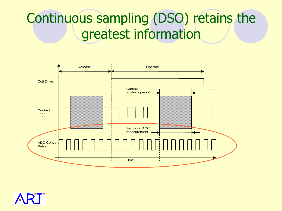#### Continuous sampling (DSO) retains the greatest information



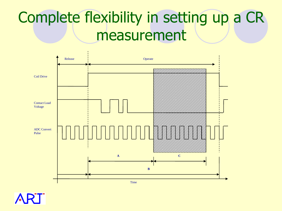## Complete flexibility in setting up a CR measurement



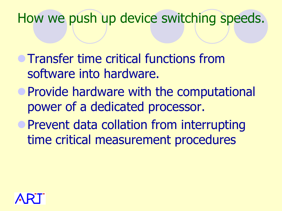#### How we push up device switching speeds.

- **Transfer time critical functions from** software into hardware.
- Provide hardware with the computational power of a dedicated processor.
- **Prevent data collation from interrupting** time critical measurement procedures

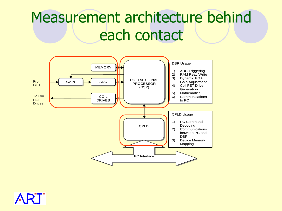## Measurement architecture behind each contact



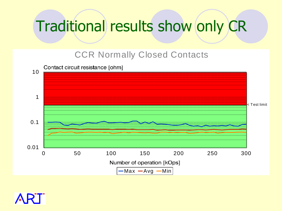### Traditional results show only CR

#### CCR Normally Closed Contacts



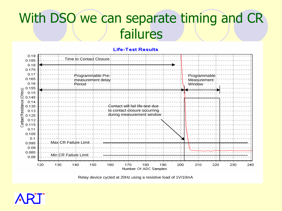#### With DSO we can separate timing and CR failures

#### **Life-Test Results**



Relay device cycled at 20Hz using a resistive load of 1V/10mA